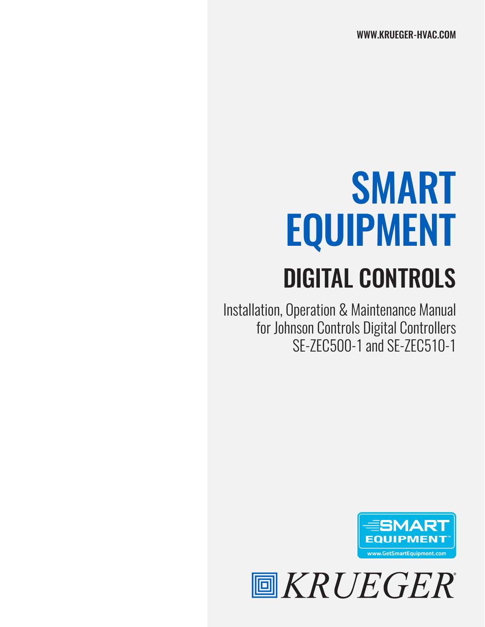# SMART EQUIPMENT

## DIGITAL CONTROLS

Installation, Operation & Maintenance Manual for Johnson Controls Digital Controllers SE-ZEC500-1 and SE-ZEC510-1



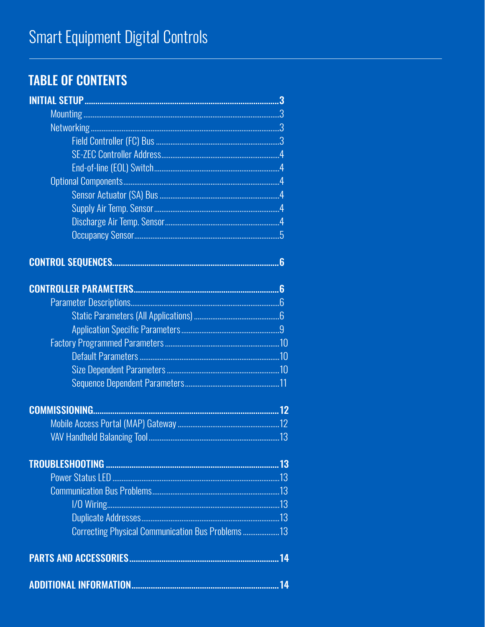## **TABLE OF CONTENTS**

| Correcting Physical Communication Bus Problems 13 |  |
|---------------------------------------------------|--|
|                                                   |  |
|                                                   |  |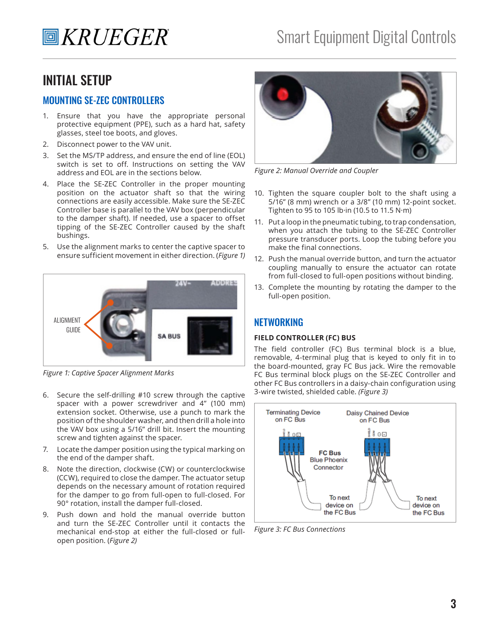## INITIAL SETUP

#### MOUNTING SE-ZEC CONTROLLERS

- 1. Ensure that you have the appropriate personal protective equipment (PPE), such as a hard hat, safety glasses, steel toe boots, and gloves.
- 2. Disconnect power to the VAV unit.
- 3. Set the MS/TP address, and ensure the end of line (EOL) switch is set to off. Instructions on setting the VAV address and EOL are in the sections below.
- 4. Place the SE-ZEC Controller in the proper mounting position on the actuator shaft so that the wiring connections are easily accessible. Make sure the SE-ZEC Controller base is parallel to the VAV box (perpendicular to the damper shaft). If needed, use a spacer to offset tipping of the SE-ZEC Controller caused by the shaft bushings.
- 5. Use the alignment marks to center the captive spacer to ensure sufficient movement in either direction. (*Figure 1)*



*Figure 1: Captive Spacer Alignment Marks*

- 6. Secure the self-drilling #10 screw through the captive spacer with a power screwdriver and 4" (100 mm) extension socket. Otherwise, use a punch to mark the position of the shoulder washer, and then drill a hole into the VAV box using a 5/16" drill bit. Insert the mounting screw and tighten against the spacer.
- 7. Locate the damper position using the typical marking on the end of the damper shaft.
- 8. Note the direction, clockwise (CW) or counterclockwise (CCW), required to close the damper. The actuator setup depends on the necessary amount of rotation required for the damper to go from full-open to full-closed. For 90° rotation, install the damper full-closed.
- 9. Push down and hold the manual override button and turn the SE-ZEC Controller until it contacts the mechanical end-stop at either the full-closed or fullopen position. (*Figure 2)*



*Figure 2: Manual Override and Coupler*

- 10. Tighten the square coupler bolt to the shaft using a 5/16" (8 mm) wrench or a 3/8" (10 mm) 12-point socket. Tighten to 95 to 105 lb·in (10.5 to 11.5 N·m)
- 11. Put a loop in the pneumatic tubing, to trap condensation, when you attach the tubing to the SE-ZEC Controller pressure transducer ports. Loop the tubing before you make the final connections.
- 12. Push the manual override button, and turn the actuator coupling manually to ensure the actuator can rotate from full-closed to full-open positions without binding.
- 13. Complete the mounting by rotating the damper to the full-open position.

#### **NETWORKING**

#### **FIELD CONTROLLER (FC) BUS**

The field controller (FC) Bus terminal block is a blue, removable, 4-terminal plug that is keyed to only fit in to the board-mounted, gray FC Bus jack. Wire the removable FC Bus terminal block plugs on the SE-ZEC Controller and other FC Bus controllers in a daisy-chain configuration using 3-wire twisted, shielded cable. *(Figure 3)*



*Figure 3: FC Bus Connections*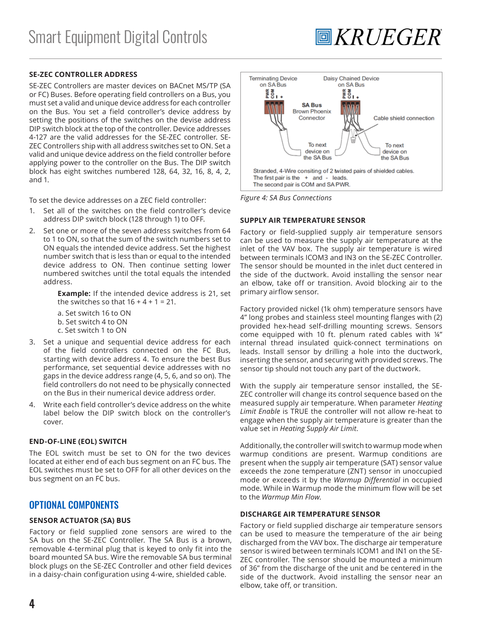#### **SE-ZEC CONTROLLER ADDRESS**

SE-ZEC Controllers are master devices on BACnet MS/TP (SA or FC) Buses. Before operating field controllers on a Bus, you must set a valid and unique device address for each controller on the Bus. You set a field controller's device address by setting the positions of the switches on the devise address DIP switch block at the top of the controller. Device addresses 4-127 are the valid addresses for the SE-ZEC controller. SE-ZEC Controllers ship with all address switches set to ON. Set a valid and unique device address on the field controller before applying power to the controller on the Bus. The DIP switch block has eight switches numbered 128, 64, 32, 16, 8, 4, 2, and 1.

To set the device addresses on a ZEC field controller:

- 1. Set all of the switches on the field controller's device address DIP switch block (128 through 1) to OFF.
- 2. Set one or more of the seven address switches from 64 to 1 to ON, so that the sum of the switch numbers set to ON equals the intended device address. Set the highest number switch that is less than or equal to the intended device address to ON. Then continue setting lower numbered switches until the total equals the intended address.

**Example:** If the intended device address is 21, set the switches so that  $16 + 4 + 1 = 21$ .

- a. Set switch 16 to ON
- b. Set switch 4 to ON
- c. Set switch 1 to ON
- 3. Set a unique and sequential device address for each of the field controllers connected on the FC Bus, starting with device address 4. To ensure the best Bus performance, set sequential device addresses with no gaps in the device address range (4, 5, 6, and so on). The field controllers do not need to be physically connected on the Bus in their numerical device address order.
- 4. Write each field controller's device address on the white label below the DIP switch block on the controller's cover.

#### **END-OF-LINE (EOL) SWITCH**

The EOL switch must be set to ON for the two devices located at either end of each bus segment on an FC bus. The EOL switches must be set to OFF for all other devices on the bus segment on an FC bus.

#### OPTIONAL COMPONENTS

#### **SENSOR ACTUATOR (SA) BUS**

Factory or field supplied zone sensors are wired to the SA bus on the SE-ZEC Controller. The SA Bus is a brown, removable 4-terminal plug that is keyed to only fit into the board mounted SA bus. Wire the removable SA bus terminal block plugs on the SE-ZEC Controller and other field devices in a daisy-chain configuration using 4-wire, shielded cable.



**圖KRUEGER** 

*Figure 4: SA Bus Connections*

#### **SUPPLY AIR TEMPERATURE SENSOR**

Factory or field-supplied supply air temperature sensors can be used to measure the supply air temperature at the inlet of the VAV box. The supply air temperature is wired between terminals ICOM3 and IN3 on the SE-ZEC Controller. The sensor should be mounted in the inlet duct centered in the side of the ductwork. Avoid installing the sensor near an elbow, take off or transition. Avoid blocking air to the primary airflow sensor.

Factory provided nickel (1k ohm) temperature sensors have 4" long probes and stainless steel mounting flanges with (2) provided hex-head self-drilling mounting screws. Sensors come equipped with 10 ft. plenum rated cables with ¼" internal thread insulated quick-connect terminations on leads. Install sensor by drilling a hole into the ductwork, inserting the sensor, and securing with provided screws. The sensor tip should not touch any part of the ductwork.

With the supply air temperature sensor installed, the SE-ZEC controller will change its control sequence based on the measured supply air temperature. When parameter *Heating Limit Enable* is TRUE the controller will not allow re-heat to engage when the supply air temperature is greater than the value set in *Heating Supply Air Limit*.

Additionally, the controller will switch to warmup mode when warmup conditions are present. Warmup conditions are present when the supply air temperature (SAT) sensor value exceeds the zone temperature (ZNT) sensor in unoccupied mode or exceeds it by the *Warmup Differential* in occupied mode. While in Warmup mode the minimum flow will be set to the *Warmup Min Flow*.

#### **DISCHARGE AIR TEMPERATURE SENSOR**

Factory or field supplied discharge air temperature sensors can be used to measure the temperature of the air being discharged from the VAV box. The discharge air temperature sensor is wired between terminals ICOM1 and IN1 on the SE-ZEC controller. The sensor should be mounted a minimum of 36" from the discharge of the unit and be centered in the side of the ductwork. Avoid installing the sensor near an elbow, take off, or transition.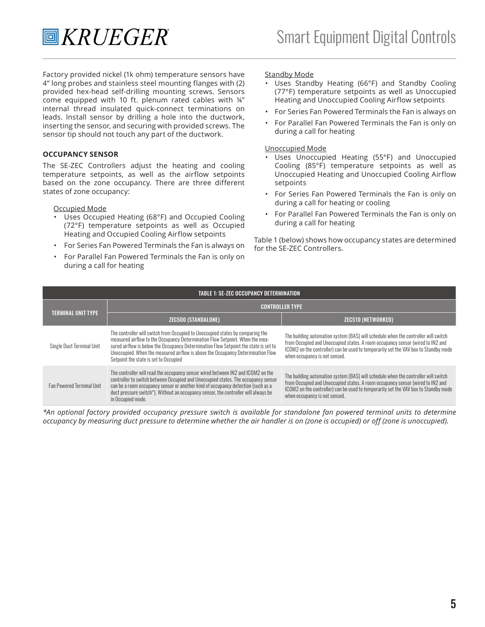Factory provided nickel (1k ohm) temperature sensors have 4" long probes and stainless steel mounting flanges with (2) provided hex-head self-drilling mounting screws. Sensors come equipped with 10 ft. plenum rated cables with ¼" internal thread insulated quick-connect terminations on leads. Install sensor by drilling a hole into the ductwork, inserting the sensor, and securing with provided screws. The sensor tip should not touch any part of the ductwork.

#### **OCCUPANCY SENSOR**

The SE-ZEC Controllers adjust the heating and cooling temperature setpoints, as well as the airflow setpoints based on the zone occupancy. There are three different states of zone occupancy:

#### Occupied Mode

- Uses Occupied Heating (68°F) and Occupied Cooling (72°F) temperature setpoints as well as Occupied Heating and Occupied Cooling Airflow setpoints
- For Series Fan Powered Terminals the Fan is always on
- For Parallel Fan Powered Terminals the Fan is only on during a call for heating

#### **Standby Mode**

- Uses Standby Heating (66°F) and Standby Cooling (77°F) temperature setpoints as well as Unoccupied Heating and Unoccupied Cooling Airflow setpoints
- For Series Fan Powered Terminals the Fan is always on
- For Parallel Fan Powered Terminals the Fan is only on during a call for heating

#### Unoccupied Mode

- Uses Unoccupied Heating (55°F) and Unoccupied Cooling (85°F) temperature setpoints as well as Unoccupied Heating and Unoccupied Cooling Airflow setpoints
- For Series Fan Powered Terminals the Fan is only on during a call for heating or cooling
- For Parallel Fan Powered Terminals the Fan is only on during a call for heating

Table 1 (below) shows how occupancy states are determined for the SE-ZEC Controllers.

|                                  | <b>TABLE 1: SE-ZEC OCCUPANCY DETERMINATION</b>                                                                                                                                                                                                                                                                                                                                     |                                                                                                                                                                                                                                                                                              |  |  |  |  |
|----------------------------------|------------------------------------------------------------------------------------------------------------------------------------------------------------------------------------------------------------------------------------------------------------------------------------------------------------------------------------------------------------------------------------|----------------------------------------------------------------------------------------------------------------------------------------------------------------------------------------------------------------------------------------------------------------------------------------------|--|--|--|--|
|                                  | <b>CONTROLLER TYPE</b>                                                                                                                                                                                                                                                                                                                                                             |                                                                                                                                                                                                                                                                                              |  |  |  |  |
| <b>TERMINAL UNIT TYPE</b>        | <b>ZEC500 (STANDALONE)</b>                                                                                                                                                                                                                                                                                                                                                         | <b>ZEC510 (NETWORKED)</b>                                                                                                                                                                                                                                                                    |  |  |  |  |
| Single Duct Terminal Unit        | The controller will switch from Occupied to Unoccupied states by comparing the<br>measured airflow to the Occupancy Determination Flow Setpoint. When the mea-<br>sured airflow is below the Occupancy Determination Flow Setpoint the state is set to<br>Unoccupied. When the measured airflow is above the Occupancy Determination Flow<br>Setpoint the state is set to Occupied | The building automation system (BAS) will schedule when the controller will switch<br>from Occupied and Unoccupied states. A room occupancy sensor (wired to IN2 and<br>ICOM2 on the controller) can be used to temporarily set the VAV box to Standby mode<br>when occupancy is not sensed. |  |  |  |  |
| <b>Fan Powered Terminal Unit</b> | The controller will read the occupancy sensor wired between IN2 and ICOM2 on the<br>controller to switch between Occupied and Unoccupied states. The occupancy sensor<br>can be a room occupancy sensor or another kind of occupancy detection (such as a<br>duct pressure switch*). Without an occupancy sensor, the controller will always be<br>in Occupied mode.               | The building automation system (BAS) will schedule when the controller will switch<br>from Occupied and Unoccupied states. A room occupancy sensor (wired to IN2 and<br>ICOM2 on the controller) can be used to temporarily set the VAV box to Standby mode<br>when occupancy is not sensed. |  |  |  |  |

*\*An optional factory provided occupancy pressure switch is available for standalone fan powered terminal units to determine occupancy by measuring duct pressure to determine whether the air handler is on (zone is occupied) or off (zone is unoccupied).*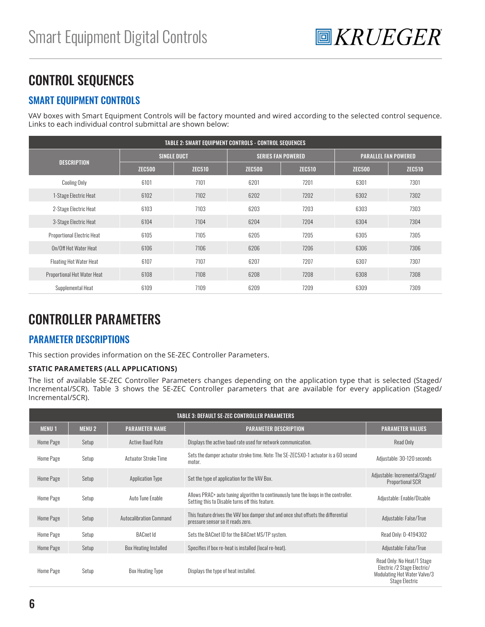

## CONTROL SEQUENCES

#### SMART EQUIPMENT CONTROLS

VAV boxes with Smart Equipment Controls will be factory mounted and wired according to the selected control sequence. Links to each individual control submittal are shown below:

| <b>TABLE 2: SMART EQUIPMENT CONTROLS - CONTROL SEQUENCES</b> |               |                    |               |                           |                             |               |  |
|--------------------------------------------------------------|---------------|--------------------|---------------|---------------------------|-----------------------------|---------------|--|
|                                                              |               | <b>SINGLE DUCT</b> |               | <b>SERIES FAN POWERED</b> | <b>PARALLEL FAN POWERED</b> |               |  |
| <b>DESCRIPTION</b>                                           | <b>ZEC500</b> | <b>ZEC510</b>      | <b>ZEC500</b> | <b>ZEC510</b>             | <b>ZEC500</b>               | <b>ZEC510</b> |  |
| <b>Cooling Only</b>                                          | 6101          | 7101               | 6201          | 7201                      | 6301                        | 7301          |  |
| 1-Stage Electric Heat                                        | 6102          | 7102               | 6202          | 7202                      | 6302                        | 7302          |  |
| 2-Stage Electric Heat                                        | 6103          | 7103               | 6203          | 7203                      | 6303                        | 7303          |  |
| 3-Stage Electric Heat                                        | 6104          | 7104               | 6204          | 7204                      | 6304                        | 7304          |  |
| <b>Proportional Electric Heat</b>                            | 6105          | 7105               | 6205          | 7205                      | 6305                        | 7305          |  |
| On/Off Hot Water Heat                                        | 6106          | 7106               | 6206          | 7206                      | 6306                        | 7306          |  |
| <b>Floating Hot Water Heat</b>                               | 6107          | 7107               | 6207          | 7207                      | 6307                        | 7307          |  |
| Proportional Hot Water Heat                                  | 6108          | 7108               | 6208          | 7208                      | 6308                        | 7308          |  |
| Supplemental Heat                                            | 6109          | 7109               | 6209          | 7209                      | 6309                        | 7309          |  |

## CONTROLLER PARAMETERS

#### PARAMETER DESCRIPTIONS

This section provides information on the SE-ZEC Controller Parameters.

#### **STATIC PARAMETERS (ALL APPLICATIONS)**

The list of available SE-ZEC Controller Parameters changes depending on the application type that is selected (Staged/ Incremental/SCR). Table 3 shows the SE-ZEC Controller parameters that are available for every application (Staged/ Incremental/SCR).

|              |              |                                | TABLE 3: DEFAULT SE-ZEC CONTROLLER PARAMETERS                                                                                           |                                                                                                                    |
|--------------|--------------|--------------------------------|-----------------------------------------------------------------------------------------------------------------------------------------|--------------------------------------------------------------------------------------------------------------------|
| <b>MENU1</b> | <b>MENU2</b> | <b>PARAMETER NAME</b>          | <b><i>PARAMETER DESCRIPTION</i></b>                                                                                                     | <b>PARAMETER VALUES</b>                                                                                            |
| Home Page    | Setup        | Active Baud Rate               | Displays the active baud rate used for network communication.                                                                           | Read Only                                                                                                          |
| Home Page    | Setup        | <b>Actuator Stroke Time</b>    | Sets the damper actuator stroke time. Note: The SE-ZEC5X0-1 actuator is a 60 second<br>motor.                                           | Adiustable: 30-120 seconds                                                                                         |
| Home Page    | Setup        | <b>Application Type</b>        | Set the type of application for the VAV Box.                                                                                            | Adjustable: Incremental/Staged/<br><b>Proportional SCR</b>                                                         |
| Home Page    | Setup        | Auto Tune Enable               | Allows PRAC+ auto tuning algorithm to continuously tune the loops in the controller.<br>Setting this to Disable turns off this feature. | Adjustable: Enable/Disable                                                                                         |
| Home Page    | Setup        | <b>Autocalibration Command</b> | This feature drives the VAV box damper shut and once shut offsets the differential<br>pressure sensor so it reads zero.                 | Adjustable: False/True                                                                                             |
| Home Page    | Setup        | <b>BACnet Id</b>               | Sets the BACnet ID for the BACnet MS/TP system.                                                                                         | Read Only: 0-4194302                                                                                               |
| Home Page    | Setup        | Box Heating Installed          | Specifies if box re-heat is installed (local re-heat).                                                                                  | Adjustable: False/True                                                                                             |
| Home Page    | Setup        | <b>Box Heating Type</b>        | Displays the type of heat installed.                                                                                                    | Read Only: No Heat/1 Stage<br>Electric /2 Stage Electric/<br>Modulating Hot Water Valve/3<br><b>Stage Electric</b> |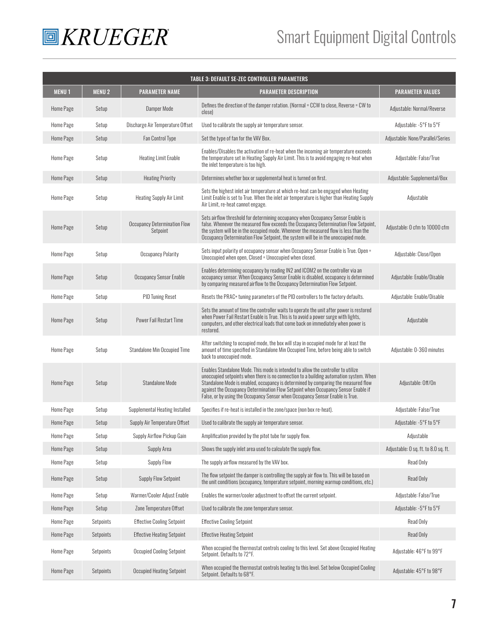

## Smart Equipment Digital Controls

|                  |              |                                                 | <b>TABLE 3: DEFAULT SE-ZEC CONTROLLER PARAMETERS</b>                                                                                                                                                                                                                                                                                                                                                                                    |                                      |
|------------------|--------------|-------------------------------------------------|-----------------------------------------------------------------------------------------------------------------------------------------------------------------------------------------------------------------------------------------------------------------------------------------------------------------------------------------------------------------------------------------------------------------------------------------|--------------------------------------|
| <b>MENU1</b>     | <b>MENU2</b> | <b>PARAMETER NAME</b>                           | <b><i>PARAMETER DESCRIPTION</i></b>                                                                                                                                                                                                                                                                                                                                                                                                     | <b>PARAMETER VALUES</b>              |
| <b>Home Page</b> | Setup        | Damper Mode                                     | Defines the direction of the damper rotation. (Normal = CCW to close, Reverse = CW to<br>close)                                                                                                                                                                                                                                                                                                                                         | Adiustable: Normal/Reverse           |
| Home Page        | Setup        | Discharge Air Temperature Offset                | Used to calibrate the supply air temperature sensor.                                                                                                                                                                                                                                                                                                                                                                                    | Adjustable: -5°F to 5°F              |
| <b>Home Page</b> | Setup        | <b>Fan Control Type</b>                         | Set the type of fan for the VAV Box.                                                                                                                                                                                                                                                                                                                                                                                                    | Adjustable: None/Parallel/Series     |
| Home Page        | Setup        | <b>Heating Limit Enable</b>                     | Enables/Disables the activation of re-heat when the incoming air temperature exceeds<br>the temperature set in Heating Supply Air Limit. This is to avoid engaging re-heat when<br>the inlet temperature is too high.                                                                                                                                                                                                                   | Adjustable: False/True               |
| <b>Home Page</b> | Setup        | <b>Heating Priority</b>                         | Determines whether box or supplemental heat is turned on first.                                                                                                                                                                                                                                                                                                                                                                         | Adjustable: Supplemental/Box         |
| <b>Home Page</b> | Setup        | <b>Heating Supply Air Limit</b>                 | Sets the highest inlet air temperature at which re-heat can be engaged when Heating<br>Limit Enable is set to True. When the inlet air temperature is higher than Heating Supply<br>Air Limit, re-heat cannot engage.                                                                                                                                                                                                                   | Adjustable                           |
| <b>Home Page</b> | Setup        | <b>Occupancy Determination Flow</b><br>Setpoint | Sets airflow threshold for determining occupancy when Occupancy Sensor Enable is<br>false. Whenever the measured flow exceeds the Occupancy Determination Flow Setpoint,<br>the system will be in the occupied mode. Whenever the measured flow is less than the<br>Occupancy Determination Flow Setpoint, the system will be in the unoccupied mode.                                                                                   | Adjustable: 0 cfm to 10000 cfm       |
| Home Page        | Setup        | <b>Occupancy Polarity</b>                       | Sets input polarity of occupancy sensor when Occupancy Sensor Enable is True. Open =<br>Unoccupied when open, Closed = Unoccupied when closed.                                                                                                                                                                                                                                                                                          | Adjustable: Close/Open               |
| <b>Home Page</b> | Setup        | Occupancy Sensor Enable                         | Enables determining occupancy by reading IN2 and ICOM2 on the controller via an<br>occupancy sensor. When Occupancy Sensor Enable is disabled, occupancy is determined<br>by comparing measured airflow to the Occupancy Determination Flow Setpoint.                                                                                                                                                                                   | Adjustable: Enable/Disable           |
| Home Page        | Setup        | PID Tuning Reset                                | Resets the PRAC+ tuning parameters of the PID controllers to the factory defaults.                                                                                                                                                                                                                                                                                                                                                      | Adjustable: Enable/Disable           |
| <b>Home Page</b> | Setup        | Power Fail Restart Time                         | Sets the amount of time the controller waits to operate the unit after power is restored<br>when Power Fail Restart Enable is True. This is to avoid a power surge with lights,<br>computers, and other electrical loads that come back on immediately when power is<br>restored.                                                                                                                                                       | Adjustable                           |
| <b>Home Page</b> | Setup        | <b>Standalone Min Occupied Time</b>             | After switching to occupied mode, the box will stay in occupied mode for at least the<br>amount of time specified in Standalone Min Occupied Time, before being able to switch<br>back to unoccupied mode.                                                                                                                                                                                                                              | Adjustable: 0-360 minutes            |
| Home Page        | Setup        | Standalone Mode                                 | Enables Standalone Mode. This mode is intended to allow the controller to utilize<br>unoccupied setpoints when there is no connection to a building automation system. When<br>Standalone Mode is enabled, occupancy is determined by comparing the measured flow<br>against the Occupancy Determination Flow Setpoint when Occupancy Sensor Enable if<br>False, or by using the Occupancy Sensor when Occupancy Sensor Enable is True. | Adjustable: Off/On                   |
| Home Page        | Setup        | Supplemental Heating Installed                  | Specifies if re-heat is installed in the zone/space (non box re-heat).                                                                                                                                                                                                                                                                                                                                                                  | Adjustable: False/True               |
| Home Page        | Setup        | Supply Air Temperature Offset                   | Used to calibrate the supply air temperature sensor.                                                                                                                                                                                                                                                                                                                                                                                    | Adjustable: -5°F to 5°F              |
| Home Page        | Setup        | Supply Airflow Pickup Gain                      | Amplification provided by the pitot tube for supply flow.                                                                                                                                                                                                                                                                                                                                                                               | Adjustable                           |
| Home Page        | Setup        | Supply Area                                     | Shows the supply inlet area used to calculate the supply flow.                                                                                                                                                                                                                                                                                                                                                                          | Adjustable: 0 sq. ft. to 8.0 sq. ft. |
| Home Page        | Setup        | Supply Flow                                     | The supply airflow measured by the VAV box.                                                                                                                                                                                                                                                                                                                                                                                             | Read Only                            |
| <b>Home Page</b> | Setup        | Supply Flow Setpoint                            | The flow setpoint the damper is controlling the supply air flow to. This will be based on<br>the unit conditions (occupancy, temperature setpoint, morning warmup conditions, etc.)                                                                                                                                                                                                                                                     | Read Only                            |
| Home Page        | Setup        | Warmer/Cooler Adjust Enable                     | Enables the warmer/cooler adjustment to offset the current setpoint.                                                                                                                                                                                                                                                                                                                                                                    | Adjustable: False/True               |
| Home Page        | Setup        | Zone Temperature Offset                         | Used to calibrate the zone temperature sensor.                                                                                                                                                                                                                                                                                                                                                                                          | Adjustable: -5°F to 5°F              |
| Home Page        | Setpoints    | <b>Effective Cooling Setpoint</b>               | <b>Effective Cooling Setpoint</b>                                                                                                                                                                                                                                                                                                                                                                                                       | Read Only                            |
| Home Page        | Setpoints    | <b>Effective Heating Setpoint</b>               | <b>Effective Heating Setpoint</b>                                                                                                                                                                                                                                                                                                                                                                                                       | Read Only                            |
| Home Page        | Setpoints    | <b>Occupied Cooling Setpoint</b>                | When occupied the thermostat controls cooling to this level. Set above Occupied Heating<br>Setpoint. Defaults to 72°F.                                                                                                                                                                                                                                                                                                                  | Adjustable: 46°F to 99°F             |
| Home Page        | Setpoints    | <b>Occupied Heating Setpoint</b>                | When occupied the thermostat controls heating to this level. Set below Occupied Cooling<br>Setpoint. Defaults to 68°F.                                                                                                                                                                                                                                                                                                                  | Adjustable: 45°F to 98°F             |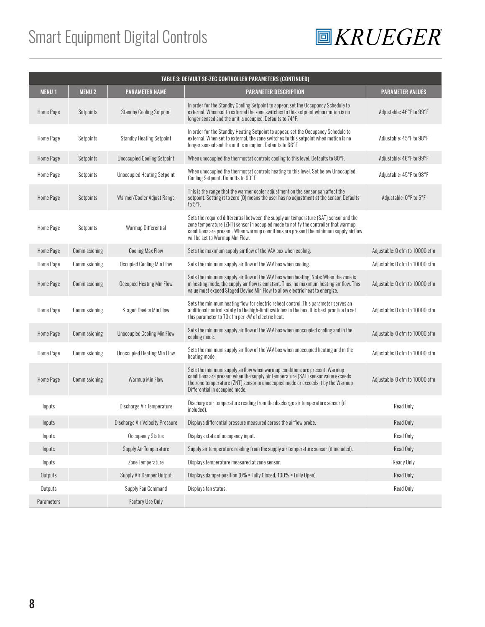## Smart Equipment Digital Controls



| TABLE 3: DEFAULT SE-ZEC CONTROLLER PARAMETERS (CONTINUED) |               |                                        |                                                                                                                                                                                                                                                                                                           |                                |  |  |
|-----------------------------------------------------------|---------------|----------------------------------------|-----------------------------------------------------------------------------------------------------------------------------------------------------------------------------------------------------------------------------------------------------------------------------------------------------------|--------------------------------|--|--|
| <b>MENU1</b>                                              | <b>MENU2</b>  | <b>PARAMETER NAME</b>                  | <b>PARAMETER DESCRIPTION</b>                                                                                                                                                                                                                                                                              | <b>PARAMETER VALUES</b>        |  |  |
| Home Page                                                 | Setpoints     | <b>Standby Cooling Setpoint</b>        | In order for the Standby Cooling Setpoint to appear, set the Occupancy Schedule to<br>external. When set to external the zone switches to this setpoint when motion is no<br>longer sensed and the unit is occupied. Defaults to 74°F.                                                                    | Adjustable: 46°F to 99°F       |  |  |
| Home Page                                                 | Setpoints     | <b>Standby Heating Setpoint</b>        | In order for the Standby Heating Setpoint to appear, set the Occupancy Schedule to<br>external. When set to external, the zone switches to this setpoint when motion is no<br>longer sensed and the unit is occupied. Defaults to 66°F.                                                                   | Adjustable: 45°F to 98°F       |  |  |
| Home Page                                                 | Setpoints     | <b>Unoccupied Cooling Setpoint</b>     | When unoccupied the thermostat controls cooling to this level. Defaults to 80°F.                                                                                                                                                                                                                          | Adjustable: 46°F to 99°F       |  |  |
| Home Page                                                 | Setpoints     | <b>Unoccupied Heating Setpoint</b>     | When unoccupied the thermostat controls heating to this level. Set below Unoccupied<br>Cooling Setpoint. Defaults to 60°F.                                                                                                                                                                                | Adjustable: 45°F to 98°F       |  |  |
| Home Page                                                 | Setpoints     | Warmer/Cooler Adjust Range             | This is the range that the warmer cooler adjustment on the sensor can affect the<br>setpoint. Setting it to zero (0) means the user has no adjustment at the sensor. Defaults<br>to $5^{\circ}$ F.                                                                                                        | Adjustable: 0°F to 5°F         |  |  |
| Home Page                                                 | Setpoints     | Warmup Differential                    | Sets the required differential between the supply air temperature (SAT) sensor and the<br>zone temperature (ZNT) sensor in occupied mode to notify the controller that warmup<br>conditions are present. When warmup conditions are present the minimum supply airflow<br>will be set to Warmup Min Flow. |                                |  |  |
| Home Page                                                 | Commissioning | <b>Cooling Max Flow</b>                | Sets the maximum supply air flow of the VAV box when cooling.                                                                                                                                                                                                                                             | Adiustable: 0 cfm to 10000 cfm |  |  |
| Home Page                                                 | Commissioning | <b>Occupied Cooling Min Flow</b>       | Sets the minimum supply air flow of the VAV box when cooling.                                                                                                                                                                                                                                             | Adiustable: 0 cfm to 10000 cfm |  |  |
| Home Page                                                 | Commissioning | <b>Occupied Heating Min Flow</b>       | Sets the minimum supply air flow of the VAV box when heating. Note: When the zone is<br>in heating mode, the supply air flow is constant. Thus, no maximum heating air flow. This<br>value must exceed Staged Device Min Flow to allow electric heat to energize.                                         | Adjustable: 0 cfm to 10000 cfm |  |  |
| Home Page                                                 | Commissioning | <b>Staged Device Min Flow</b>          | Sets the minimum heating flow for electric reheat control. This parameter serves an<br>additional control safety to the high-limit switches in the box. It is best practice to set<br>this parameter to 70 cfm per kW of electric heat.                                                                   | Adjustable: 0 cfm to 10000 cfm |  |  |
| Home Page                                                 | Commissioning | <b>Unoccupied Cooling Min Flow</b>     | Sets the minimum supply air flow of the VAV box when unoccupied cooling and in the<br>cooling mode.                                                                                                                                                                                                       | Adjustable: 0 cfm to 10000 cfm |  |  |
| Home Page                                                 | Commissioning | <b>Unoccupied Heating Min Flow</b>     | Sets the minimum supply air flow of the VAV box when unoccupied heating and in the<br>heating mode.                                                                                                                                                                                                       | Adjustable: 0 cfm to 10000 cfm |  |  |
| Home Page                                                 | Commissioning | Warmup Min Flow                        | Sets the minimum supply airflow when warmup conditions are present. Warmup<br>conditions are present when the supply air temperature (SAT) sensor value exceeds<br>the zone temperature (ZNT) sensor in unoccupied mode or exceeds it by the Warmup<br>Differential in occupied mode.                     | Adjustable: 0 cfm to 10000 cfm |  |  |
| Inputs                                                    |               | Discharge Air Temperature              | Discharge air temperature reading from the discharge air temperature sensor (if<br>included).                                                                                                                                                                                                             | Read Only                      |  |  |
| Inputs                                                    |               | <b>Discharge Air Velocity Pressure</b> | Displays differential pressure measured across the airflow probe.                                                                                                                                                                                                                                         | <b>Read Only</b>               |  |  |
| Inputs                                                    |               | <b>Occupancy Status</b>                | Displays state of occupancy input.                                                                                                                                                                                                                                                                        | Read Only                      |  |  |
| Inputs                                                    |               | Supply Air Temperature                 | Supply air temperature reading from the supply air temperature sensor (if included).                                                                                                                                                                                                                      | Read Only                      |  |  |
| Inputs                                                    |               | Zone Temperature                       | Displays temperature measured at zone sensor.                                                                                                                                                                                                                                                             | Ready Only                     |  |  |
| Outputs                                                   |               | Supply Air Damper Output               | Displays damper position (0% = Fully Closed, 100% = Fully Open).                                                                                                                                                                                                                                          | Read Only                      |  |  |
| Outputs                                                   |               | Supply Fan Command                     | Displays fan status.                                                                                                                                                                                                                                                                                      | Read Only                      |  |  |
| Parameters                                                |               | <b>Factory Use Only</b>                |                                                                                                                                                                                                                                                                                                           |                                |  |  |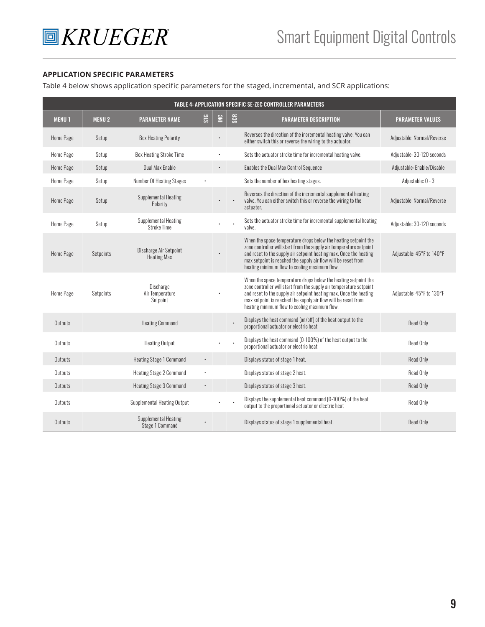#### **APPLICATION SPECIFIC PARAMETERS**

Table 4 below shows application specific parameters for the staged, incremental, and SCR applications:

| <b>TABLE 4: APPLICATION SPECIFIC SE-ZEC CONTROLLER PARAMETERS</b> |              |                                                |     |   |                  |                                                                                                                                                                                                                                                                                                                                 |                            |
|-------------------------------------------------------------------|--------------|------------------------------------------------|-----|---|------------------|---------------------------------------------------------------------------------------------------------------------------------------------------------------------------------------------------------------------------------------------------------------------------------------------------------------------------------|----------------------------|
| <b>MENU1</b>                                                      | <b>MENU2</b> | <b>PARAMETER NAME</b>                          | STG | ≌ | SCR <sub>5</sub> | <b>PARAMETER DESCRIPTION</b>                                                                                                                                                                                                                                                                                                    | <b>PARAMETER VALUES</b>    |
| Home Page                                                         | Setup        | <b>Box Heating Polarity</b>                    |     |   |                  | Reverses the direction of the incremental heating valve. You can<br>either switch this or reverse the wiring to the actuator.                                                                                                                                                                                                   | Adjustable: Normal/Reverse |
| Home Page                                                         | Setup        | <b>Box Heating Stroke Time</b>                 |     |   |                  | Sets the actuator stroke time for incremental heating valve.                                                                                                                                                                                                                                                                    | Adiustable: 30-120 seconds |
| Home Page                                                         | Setup        | Dual Max Enable                                |     |   |                  | Enables the Dual Max Control Sequence                                                                                                                                                                                                                                                                                           | Adjustable: Enable/Disable |
| Home Page                                                         | Setup        | Number Of Heating Stages                       |     |   |                  | Sets the number of box heating stages.                                                                                                                                                                                                                                                                                          | Adjustable: 0 - 3          |
| Home Page                                                         | Setup        | <b>Supplemental Heating</b><br>Polarity        |     |   |                  | Reverses the direction of the incremental supplemental heating<br>valve. You can either switch this or reverse the wiring to the<br>actuator.                                                                                                                                                                                   | Adiustable: Normal/Reverse |
| Home Page                                                         | Setup        | Supplemental Heating<br><b>Stroke Time</b>     |     |   |                  | Sets the actuator stroke time for incremental supplemental heating<br>valve.                                                                                                                                                                                                                                                    | Adiustable: 30-120 seconds |
| Home Page                                                         | Setpoints    | Discharge Air Setpoint<br><b>Heating Max</b>   |     |   |                  | When the space temperature drops below the heating setpoint the<br>zone controller will start from the supply air temperature setpoint<br>and reset to the supply air setpoint heating max. Once the heating<br>max setpoint is reached the supply air flow will be reset from<br>heating minimum flow to cooling maximum flow. | Adjustable: 45°F to 140°F  |
| Home Page                                                         | Setpoints    | Discharge<br>Air Temperature<br>Setpoint       |     |   |                  | When the space temperature drops below the heating setpoint the<br>zone controller will start from the supply air temperature setpoint<br>and reset to the supply air setpoint heating max. Once the heating<br>max setpoint is reached the supply air flow will be reset from<br>heating minimum flow to cooling maximum flow. | Adiustable: 45°F to 130°F  |
| Outputs                                                           |              | <b>Heating Command</b>                         |     |   |                  | Displays the heat command (on/off) of the heat output to the<br>proportional actuator or electric heat                                                                                                                                                                                                                          | Read Only                  |
| Outputs                                                           |              | <b>Heating Output</b>                          |     |   |                  | Displays the heat command (0-100%) of the heat output to the<br>proportional actuator or electric heat                                                                                                                                                                                                                          | Read Only                  |
| Outputs                                                           |              | <b>Heating Stage 1 Command</b>                 |     |   |                  | Displays status of stage 1 heat.                                                                                                                                                                                                                                                                                                | Read Only                  |
| Outputs                                                           |              | <b>Heating Stage 2 Command</b>                 |     |   |                  | Displays status of stage 2 heat.                                                                                                                                                                                                                                                                                                | Read Only                  |
| Outputs                                                           |              | <b>Heating Stage 3 Command</b>                 |     |   |                  | Displays status of stage 3 heat.                                                                                                                                                                                                                                                                                                | Read Only                  |
| Outputs                                                           |              | <b>Supplemental Heating Output</b>             |     |   |                  | Displays the supplemental heat command (0-100%) of the heat<br>output to the proportional actuator or electric heat                                                                                                                                                                                                             | <b>Read Only</b>           |
| Outputs                                                           |              | <b>Supplemental Heating</b><br>Stage 1 Command |     |   |                  | Displays status of stage 1 supplemental heat.                                                                                                                                                                                                                                                                                   | <b>Read Only</b>           |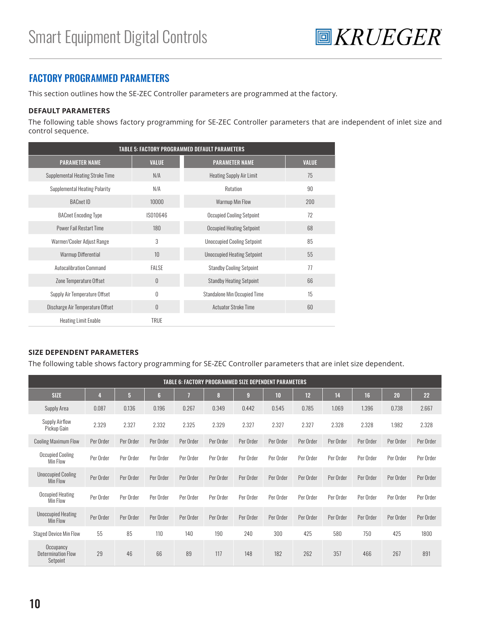

#### FACTORY PROGRAMMED PARAMETERS

This section outlines how the SE-ZEC Controller parameters are programmed at the factory.

#### **DEFAULT PARAMETERS**

The following table shows factory programming for SE-ZEC Controller parameters that are independent of inlet size and control sequence.

| <b>TABLE 5: FACTORY PROGRAMMED DEFAULT PARAMETERS</b> |              |                                     |              |  |  |  |
|-------------------------------------------------------|--------------|-------------------------------------|--------------|--|--|--|
| <b>PARAMETER NAME</b>                                 | <b>VALUE</b> | <b>PARAMETER NAME</b>               | <b>VALUE</b> |  |  |  |
| Supplemental Heating Stroke Time                      | N/A          | <b>Heating Supply Air Limit</b>     | 75           |  |  |  |
| <b>Supplemental Heating Polarity</b>                  | N/A          | Rotation                            | 90           |  |  |  |
| <b>BACnet ID</b>                                      | 10000        | Warmup Min Flow                     | 200          |  |  |  |
| <b>BACnet Encoding Type</b>                           | IS010646     | <b>Occupied Cooling Setpoint</b>    | 72           |  |  |  |
| <b>Power Fail Restart Time</b>                        | 180          | <b>Occupied Heating Setpoint</b>    | 68           |  |  |  |
| Warmer/Cooler Adjust Range                            | 3            | <b>Unoccupied Cooling Setpoint</b>  | 85           |  |  |  |
| Warmup Differential                                   | 10           | <b>Unoccupied Heating Setpoint</b>  | 55           |  |  |  |
| <b>Autocalibration Command</b>                        | <b>FALSE</b> | <b>Standby Cooling Setpoint</b>     | 77           |  |  |  |
| Zone Temperature Offset                               | $\theta$     | <b>Standby Heating Setpoint</b>     | 66           |  |  |  |
| Supply Air Temperature Offset                         | $\theta$     | <b>Standalone Min Occupied Time</b> | 15           |  |  |  |
| Discharge Air Temperature Offset                      | $\theta$     | <b>Actuator Stroke Time</b>         | 60           |  |  |  |
| <b>Heating Limit Enable</b>                           | TRUE         |                                     |              |  |  |  |

#### **SIZE DEPENDENT PARAMETERS**

The following table shows factory programming for SE-ZEC Controller parameters that are inlet size dependent.

| <b>TABLE 6: FACTORY PROGRAMMED SIZE DEPENDENT PARAMETERS</b> |           |                |           |           |           |                |           |           |           |           |           |           |
|--------------------------------------------------------------|-----------|----------------|-----------|-----------|-----------|----------------|-----------|-----------|-----------|-----------|-----------|-----------|
| <b>SIZE</b>                                                  |           | 5 <sup>5</sup> | 6         |           | 8         | $\overline{9}$ | 10        | 12        | 14        | 16        | 20        | 22        |
| Supply Area                                                  | 0.087     | 0.136          | 0.196     | 0.267     | 0.349     | 0.442          | 0.545     | 0.785     | 1.069     | 1.396     | 0.738     | 2.667     |
| Supply Airflow<br>Pickup Gain                                | 2.329     | 2.327          | 2.332     | 2.325     | 2.329     | 2.327          | 2.327     | 2.327     | 2.328     | 2.328     | 1.982     | 2.328     |
| <b>Cooling Maximum Flow</b>                                  | Per Order | Per Order      | Per Order | Per Order | Per Order | Per Order      | Per Order | Per Order | Per Order | Per Order | Per Order | Per Order |
| <b>Occupied Cooling</b><br>Min Flow                          | Per Order | Per Order      | Per Order | Per Order | Per Order | Per Order      | Per Order | Per Order | Per Order | Per Order | Per Order | Per Order |
| <b>Unoccupied Cooling</b><br>Min Flow                        | Per Order | Per Order      | Per Order | Per Order | Per Order | Per Order      | Per Order | Per Order | Per Order | Per Order | Per Order | Per Order |
| Occupied Heating<br>Min Flow                                 | Per Order | Per Order      | Per Order | Per Order | Per Order | Per Order      | Per Order | Per Order | Per Order | Per Order | Per Order | Per Order |
| <b>Unoccupied Heating</b><br>Min Flow                        | Per Order | Per Order      | Per Order | Per Order | Per Order | Per Order      | Per Order | Per Order | Per Order | Per Order | Per Order | Per Order |
| <b>Staged Device Min Flow</b>                                | 55        | 85             | 110       | 140       | 190       | 240            | 300       | 425       | 580       | 750       | 425       | 1800      |
| Occupancy<br><b>Determination Flow</b><br>Setpoint           | 29        | 46             | 66        | 89        | 117       | 148            | 182       | 262       | 357       | 466       | 267       | 891       |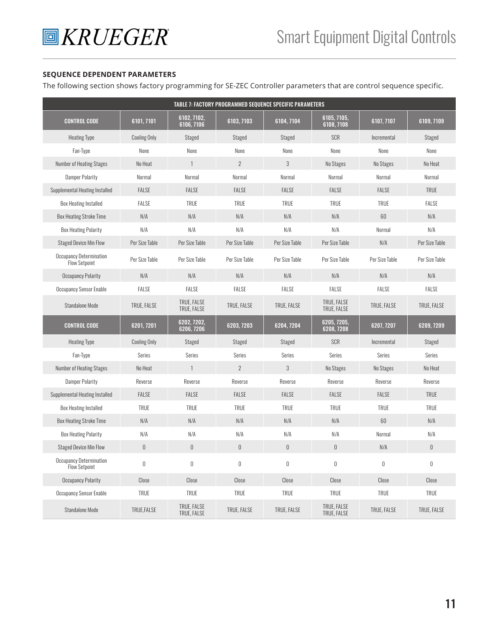#### **SEQUENCE DEPENDENT PARAMETERS**

The following section shows factory programming for SE-ZEC Controller parameters that are control sequence specific.

|                                                        |                     |                            |                  | TABLE 7: FACTORY PROGRAMMED SEQUENCE SPECIFIC PARAMETERS |                            |                  |                  |
|--------------------------------------------------------|---------------------|----------------------------|------------------|----------------------------------------------------------|----------------------------|------------------|------------------|
| <b>CONTROL CODE</b>                                    | 6101, 7101          | 6102, 7102,<br>6106, 7106  | 6103, 7103       | 6104, 7104                                               | 6105, 7105,<br>6108, 7108  | 6107, 7107       | 6109, 7109       |
| <b>Heating Type</b>                                    | <b>Cooling Only</b> | Staged                     | Staged           | Staged                                                   | SCR                        | Incremental      | Staged           |
| Fan-Type                                               | None                | None                       | None             | None                                                     | None                       | None             | None             |
| <b>Number of Heating Stages</b>                        | No Heat             | $\mathbf{1}$               | $\overline{2}$   | 3                                                        | No Stages                  | No Stages        | No Heat          |
| <b>Damper Polarity</b>                                 | Normal              | Normal                     | Normal           | Normal                                                   | Normal                     | Normal           | Normal           |
| Supplemental Heating Installed                         | <b>FALSE</b>        | FALSE                      | <b>FALSE</b>     | FALSE                                                    | <b>FALSE</b>               | FALSE            | <b>TRUE</b>      |
| <b>Box Heating Installed</b>                           | FALSE               | <b>TRUE</b>                | <b>TRUE</b>      | <b>TRUE</b>                                              | <b>TRUE</b>                | <b>TRUE</b>      | FALSE            |
| <b>Box Heating Stroke Time</b>                         | N/A                 | N/A                        | N/A              | N/A                                                      | N/A                        | 60               | N/A              |
| <b>Box Heating Polarity</b>                            | N/A                 | N/A                        | N/A              | N/A                                                      | N/A                        | Normal           | N/A              |
| <b>Staged Device Min Flow</b>                          | Per Size Table      | Per Size Table             | Per Size Table   | Per Size Table                                           | Per Size Table             | N/A              | Per Size Table   |
| <b>Occupancy Determination</b><br><b>Flow Setpoint</b> | Per Size Table      | Per Size Table             | Per Size Table   | Per Size Table                                           | Per Size Table             | Per Size Table   | Per Size Table   |
| <b>Occupancy Polarity</b>                              | N/A                 | N/A                        | N/A              | N/A                                                      | N/A                        | N/A              | N/A              |
| Occupancy Sensor Enable                                | <b>FALSE</b>        | FALSE                      | <b>FALSE</b>     | FALSE                                                    | <b>FALSE</b>               | FALSE            | <b>FALSE</b>     |
| <b>Standalone Mode</b>                                 | TRUE. FALSE         | TRUE, FALSE<br>TRUE, FALSE | TRUE, FALSE      | TRUE, FALSE                                              | TRUE. FALSE<br>TRUE, FALSE | TRUE, FALSE      | TRUE. FALSE      |
| <b>CONTROL CODE</b>                                    | 6201, 7201          | 6202, 7202,<br>6206, 7206  | 6203, 7203       | 6204, 7204                                               | 6205, 7205,<br>6208, 7208  | 6207, 7207       | 6209, 7209       |
| <b>Heating Type</b>                                    | <b>Cooling Only</b> | Staged                     | Staged           | Staged                                                   | SCR                        | Incremental      | Staged           |
| Fan-Type                                               | Series              | Series                     | Series           | Series                                                   | Series                     | Series           | Series           |
| <b>Number of Heating Stages</b>                        | No Heat             | $\mathbf{1}$               | $\overline{2}$   | 3                                                        | No Stages                  | No Stages        | No Heat          |
| <b>Damper Polarity</b>                                 | Reverse             | Reverse                    | Reverse          | Reverse                                                  | Reverse                    | Reverse          | Reverse          |
| Supplemental Heating Installed                         | <b>FALSE</b>        | FALSE                      | <b>FALSE</b>     | FALSE                                                    | <b>FALSE</b>               | FALSE            | <b>TRUE</b>      |
| <b>Box Heating Installed</b>                           | <b>TRUE</b>         | <b>TRUE</b>                | <b>TRUE</b>      | <b>TRUE</b>                                              | <b>TRUE</b>                | <b>TRUE</b>      | <b>TRUE</b>      |
| <b>Box Heating Stroke Time</b>                         | N/A                 | N/A                        | N/A              | N/A                                                      | N/A                        | 60               | N/A              |
| <b>Box Heating Polarity</b>                            | N/A                 | N/A                        | N/A              | N/A                                                      | N/A                        | Normal           | N/A              |
| <b>Staged Device Min Flow</b>                          | $\mathbb 0$         | $\boldsymbol{0}$           | $\mathbb 0$      | $\mathbb 0$                                              | $\theta$                   | N/A              | $\mathbb 0$      |
| Occupancy Determination<br><b>Flow Setpoint</b>        | $\boldsymbol{0}$    | $\boldsymbol{0}$           | $\boldsymbol{0}$ | $\mathbb 0$                                              | $\boldsymbol{0}$           | $\boldsymbol{0}$ | $\boldsymbol{0}$ |
| <b>Occupancy Polarity</b>                              | Close               | Close                      | Close            | Close                                                    | Close                      | Close            | Close            |
| Occupancy Sensor Enable                                | <b>TRUE</b>         | TRUE                       | <b>TRUE</b>      | <b>TRUE</b>                                              | TRUE                       | TRUE             | <b>TRUE</b>      |
| Standalone Mode                                        | TRUE, FALSE         | TRUE, FALSE<br>TRUE, FALSE | TRUE, FALSE      | TRUE, FALSE                                              | TRUE, FALSE<br>TRUE, FALSE | TRUE, FALSE      | TRUE, FALSE      |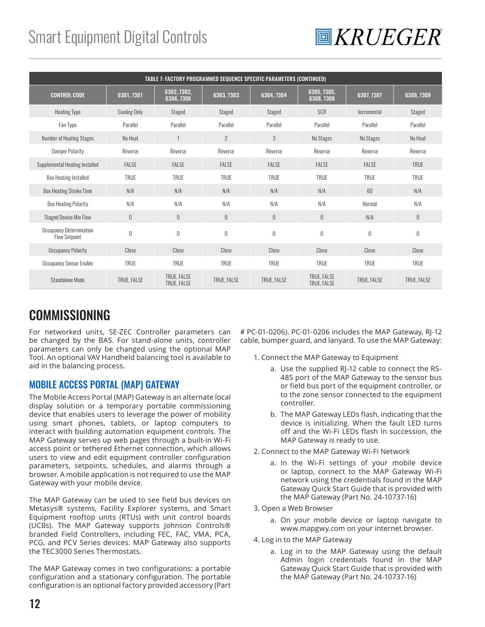## Smart Equipment Digital Controls



|                                                 | TABLE 7: FACTORY PROGRAMMED SEQUENCE SPECIFIC PARAMETERS (CONTINUED) |                            |                |              |                            |             |             |
|-------------------------------------------------|----------------------------------------------------------------------|----------------------------|----------------|--------------|----------------------------|-------------|-------------|
| <b>CONTROL CODE</b>                             | 6301, 7301                                                           | 6302, 7302,<br>6306, 7306  | 6303, 7303     | 6304, 7304   | 6305, 7305,<br>6308, 7308  | 6307, 7307  | 6309, 7309  |
| <b>Heating Type</b>                             | <b>Cooling Only</b>                                                  | Staged                     | Staged         | Staged       | <b>SCR</b>                 | Incremental | Staged      |
| Fan-Type                                        | Parallel                                                             | Parallel                   | Parallel       | Parallel     | Parallel                   | Parallel    | Parallel    |
| <b>Number of Heating Stages</b>                 | No Heat                                                              |                            | $\overline{2}$ | 3            | No Stages                  | No Stages   | No Heat     |
| <b>Damper Polarity</b>                          | Reverse                                                              | Reverse                    | Reverse        | Reverse      | Reverse                    | Reverse     | Reverse     |
| Supplemental Heating Installed                  | <b>FALSE</b>                                                         | FALSE                      | <b>FALSE</b>   | <b>FALSE</b> | <b>FALSE</b>               | FALSE       | <b>TRUE</b> |
| <b>Box Heating Installed</b>                    | <b>TRUE</b>                                                          | <b>TRUE</b>                | <b>TRUE</b>    | <b>TRUE</b>  | <b>TRUE</b>                | <b>TRUE</b> | <b>TRUE</b> |
| <b>Box Heating Stroke Time</b>                  | N/A                                                                  | N/A                        | N/A            | N/A          | N/A                        | 60          | N/A         |
| <b>Box Heating Polarity</b>                     | N/A                                                                  | N/A                        | N/A            | N/A          | N/A                        | Normal      | N/A         |
| <b>Staged Device Min Flow</b>                   | $\mathbb 0$                                                          | $\theta$                   | $\theta$       | $\theta$     | $\mathbf{0}$               | N/A         | $\mathbf 0$ |
| Occupancy Determination<br><b>Flow Setpoint</b> | $\boldsymbol{0}$                                                     | $\theta$                   | $\theta$       | $\theta$     | $\theta$                   | $\theta$    | $\mathbf 0$ |
| <b>Occupancy Polarity</b>                       | Close                                                                | Close                      | Close          | Close        | Close                      | Close       | Close       |
| <b>Occupancy Sensor Enable</b>                  | <b>TRUE</b>                                                          | <b>TRUE</b>                | <b>TRUE</b>    | <b>TRUE</b>  | TRUE                       | <b>TRUE</b> | <b>TRUE</b> |
| Standalone Mode                                 | TRUE, FALSE                                                          | TRUE, FALSE<br>TRUE, FALSE | TRUE, FALSE    | TRUE, FALSE  | TRUE. FALSE<br>TRUE, FALSE | TRUE, FALSE | TRUE, FALSE |

## COMMISSIONING

For networked units, SE-ZEC Controller parameters can be changed by the BAS. For stand-alone units, controller parameters can only be changed using the optional MAP Tool. An optional VAV Handheld balancing tool is available to aid in the balancing process.

#### MOBILE ACCESS PORTAL (MAP) GATEWAY

The Mobile Access Portal (MAP) Gateway is an alternate local display solution or a temporary portable commissioning device that enables users to leverage the power of mobility using smart phones, tablets, or laptop computers to interact with building automation equipment controls. The MAP Gateway serves up web pages through a built-in Wi-Fi access point or tethered Ethernet connection, which allows users to view and edit equipment controller configuration parameters, setpoints, schedules, and alarms through a browser. A mobile application is not required to use the MAP Gateway with your mobile device.

The MAP Gateway can be used to see field bus devices on Metasys® systems, Facility Explorer systems, and Smart Equipment rooftop units (RTUs) with unit control boards (UCBs). The MAP Gateway supports Johnson Controls® branded Field Controllers, including FEC, FAC, VMA, PCA, PCG, and PCV Series devices. MAP Gateway also supports the TEC3000 Series Thermostats.

The MAP Gateway comes in two configurations: a portable configuration and a stationary configuration. The portable configuration is an optional factory provided accessory (Part # PC-01-0206). PC-01-0206 includes the MAP Gateway, RJ-12 cable, bumper guard, and lanyard. To use the MAP Gateway:

- 1. Connect the MAP Gateway to Equipment
	- a. Use the supplied RJ-12 cable to connect the RS-485 port of the MAP Gateway to the sensor bus or field bus port of the equipment controller, or to the zone sensor connected to the equipment controller.
	- b. The MAP Gateway LEDs flash, indicating that the device is initializing. When the fault LED turns off and the Wi-Fi LEDs flash in succession, the MAP Gateway is ready to use.
- 2. Connect to the MAP Gateway Wi-Fi Network
	- a. In the Wi-Fi settings of your mobile device or laptop, connect to the MAP Gateway Wi-Fi network using the credentials found in the MAP Gateway Quick Start Guide that is provided with the MAP Gateway (Part No. 24-10737-16)
- 3. Open a Web Browser
	- a. On your mobile device or laptop navigate to www.mapgwy.com on your internet browser.
- 4. Log in to the MAP Gateway
	- a. Log in to the MAP Gateway using the default Admin login credentials found in the MAP Gateway Quick Start Guide that is provided with the MAP Gateway (Part No. 24-10737-16)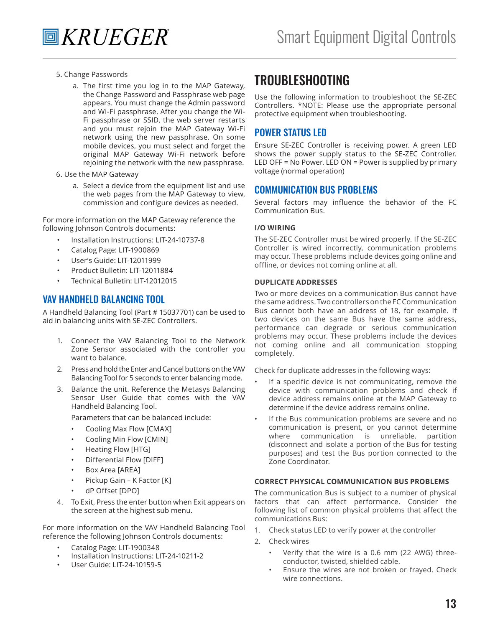- 5. Change Passwords
	- a. The first time you log in to the MAP Gateway, the Change Password and Passphrase web page appears. You must change the Admin password and Wi-Fi passphrase. After you change the Wi-Fi passphrase or SSID, the web server restarts and you must rejoin the MAP Gateway Wi-Fi network using the new passphrase. On some mobile devices, you must select and forget the original MAP Gateway Wi-Fi network before rejoining the network with the new passphrase.
- 6. Use the MAP Gateway
	- a. Select a device from the equipment list and use the web pages from the MAP Gateway to view, commission and configure devices as needed.

For more information on the MAP Gateway reference the following Johnson Controls documents:

- Installation Instructions: LIT-24-10737-8
- Catalog Page: LIT-1900869
- User's Guide: LIT-12011999
- Product Bulletin: LIT-12011884
- Technical Bulletin: LIT-12012015

#### VAV HANDHELD BALANCING TOOL

A Handheld Balancing Tool (Part # 15037701) can be used to aid in balancing units with SE-ZEC Controllers.

- 1. Connect the VAV Balancing Tool to the Network Zone Sensor associated with the controller you want to balance.
- 2. Press and hold the Enter and Cancel buttons on the VAV Balancing Tool for 5 seconds to enter balancing mode.
- 3. Balance the unit. Reference the Metasys Balancing Sensor User Guide that comes with the VAV Handheld Balancing Tool.

Parameters that can be balanced include:

- Cooling Max Flow [CMAX]
- Cooling Min Flow [CMIN]
- Heating Flow [HTG]
- Differential Flow [DIFF]
- Box Area [AREA]
- Pickup Gain K Factor [K]
- dP Offset [DPO]
- 4. To Exit, Press the enter button when Exit appears on the screen at the highest sub menu.

For more information on the VAV Handheld Balancing Tool reference the following Johnson Controls documents:

- Catalog Page: LIT-1900348
- Installation Instructions: LIT-24-10211-2
- User Guide: LIT-24-10159-5

### TROUBLESHOOTING

Use the following information to troubleshoot the SE-ZEC Controllers. \*NOTE: Please use the appropriate personal protective equipment when troubleshooting.

#### POWER STATUS LED

Ensure SE-ZEC Controller is receiving power. A green LED shows the power supply status to the SE-ZEC Controller. LED OFF = No Power. LED ON = Power is supplied by primary voltage (normal operation)

#### COMMUNICATION BUS PROBLEMS

Several factors may influence the behavior of the FC Communication Bus.

#### **I/O WIRING**

The SE-ZEC Controller must be wired properly. If the SE-ZEC Controller is wired incorrectly, communication problems may occur. These problems include devices going online and offline, or devices not coming online at all.

#### **DUPLICATE ADDRESSES**

Two or more devices on a communication Bus cannot have the same address. Two controllers on the FC Communication Bus cannot both have an address of 18, for example. If two devices on the same Bus have the same address, performance can degrade or serious communication problems may occur. These problems include the devices not coming online and all communication stopping completely.

Check for duplicate addresses in the following ways:

- If a specific device is not communicating, remove the device with communication problems and check if device address remains online at the MAP Gateway to determine if the device address remains online.
- If the Bus communication problems are severe and no communication is present, or you cannot determine where communication is unreliable, partition (disconnect and isolate a portion of the Bus for testing purposes) and test the Bus portion connected to the Zone Coordinator.

#### **CORRECT PHYSICAL COMMUNICATION BUS PROBLEMS**

The communication Bus is subject to a number of physical factors that can affect performance. Consider the following list of common physical problems that affect the communications Bus:

- 1. Check status LED to verify power at the controller
- 2. Check wires
	- Verify that the wire is a 0.6 mm (22 AWG) threeconductor, twisted, shielded cable.
	- Ensure the wires are not broken or frayed. Check wire connections.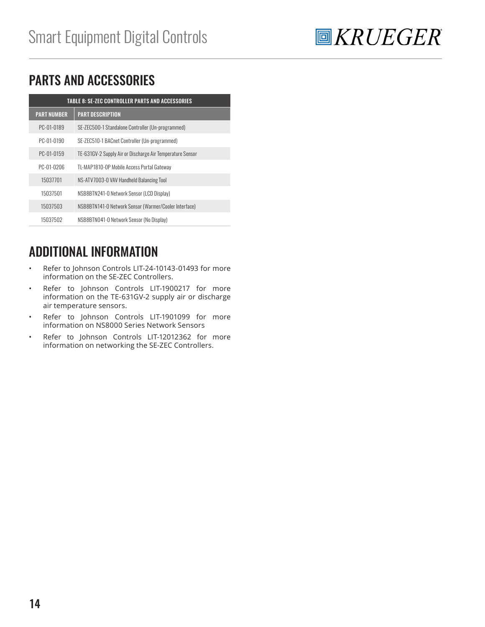

## PARTS AND ACCESSORIES

| <b>TABLE 8: SE-ZEC CONTROLLER PARTS AND ACCESSORIES</b> |                                                           |  |  |  |  |
|---------------------------------------------------------|-----------------------------------------------------------|--|--|--|--|
| <b>PART NUMBER</b>                                      | <b>PART DESCRIPTION</b>                                   |  |  |  |  |
| PC-01-0189                                              | SE-ZEC500-1 Standalone Controller (Un-programmed)         |  |  |  |  |
| PC-01-0190                                              | SE-ZEC510-1 BACnet Controller (Un-programmed)             |  |  |  |  |
| PC-01-0159                                              | TE-631GV-2 Supply Air or Discharge Air Temperature Sensor |  |  |  |  |
| PC-01-0206                                              | TL-MAP1810-OP Mobile Access Portal Gateway                |  |  |  |  |
| 15037701                                                | NS-ATV7003-0 VAV Handheld Balancing Tool                  |  |  |  |  |
| 15037501                                                | NSB8BTN241-0 Network Sensor (LCD Display)                 |  |  |  |  |
| 15037503                                                | NSB8BTN141-0 Network Sensor (Warmer/Cooler Interface)     |  |  |  |  |
| 15037502                                                | NSB8BTN041-0 Network Sensor (No Display)                  |  |  |  |  |

## ADDITIONAL INFORMATION

- Refer to Johnson Controls LIT-24-10143-01493 for more information on the SE-ZEC Controllers.
- Refer to Johnson Controls LIT-1900217 for more information on the TE-631GV-2 supply air or discharge air temperature sensors.
- Refer to Johnson Controls LIT-1901099 for more information on NS8000 Series Network Sensors
- Refer to Johnson Controls LIT-12012362 for more information on networking the SE-ZEC Controllers.